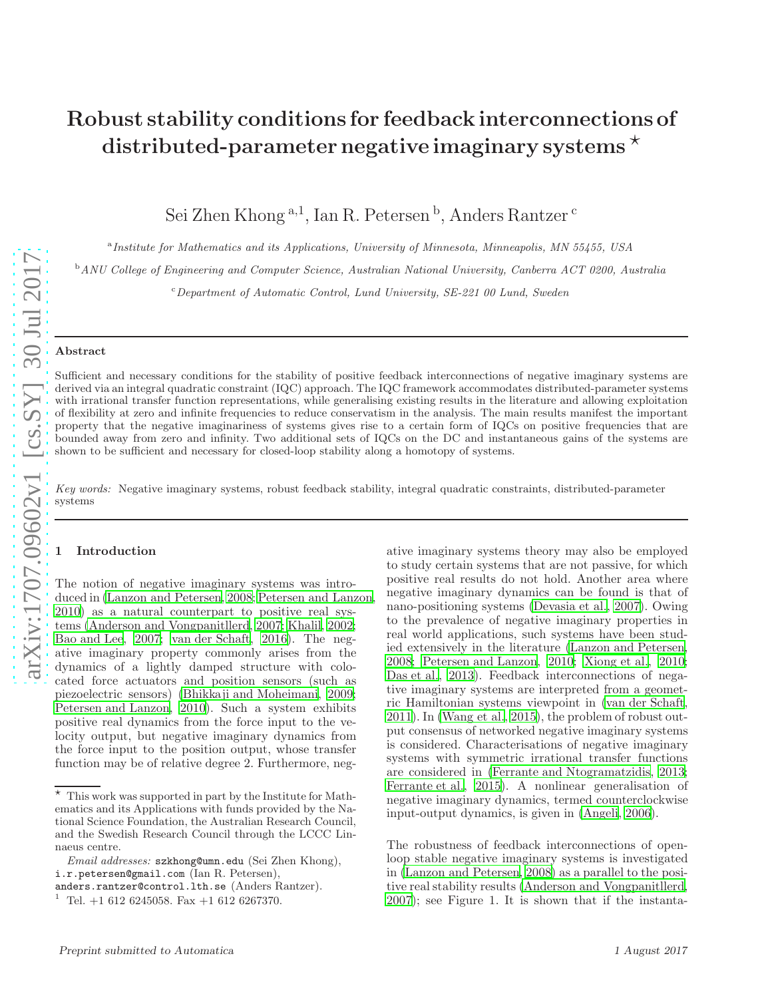# Robust stability conditions for feedback interconnections of distributed-parameter negative imaginary systems  $\star$

Sei Zhen Khong <sup>a, 1</sup>, Ian R. Petersen <sup>b</sup>, Anders Rantzer <sup>c</sup>

<sup>a</sup> Institute for Mathematics and its Applications, University of Minnesota, Minneapolis, MN 55455, USA

<sup>b</sup> ANU College of Engineering and Computer Science, Australian National University, Canberra ACT 0200, Australia

 $c$ Department of Automatic Control, Lund University, SE-221 00 Lund, Sweden

#### Abstract

Sufficient and necessary conditions for the stability of positive feedback interconnections of negative imaginary systems are derived via an integral quadratic constraint (IQC) approach. The IQC framework accommodates distributed-parameter systems with irrational transfer function representations, while generalising existing results in the literature and allowing exploitation of flexibility at zero and infinite frequencies to reduce conservatism in the analysis. The main results manifest the important property that the negative imaginariness of systems gives rise to a certain form of IQCs on positive frequencies that are bounded away from zero and infinity. Two additional sets of IQCs on the DC and instantaneous gains of the systems are shown to be sufficient and necessary for closed-loop stability along a homotopy of systems.

Key words: Negative imaginary systems, robust feedback stability, integral quadratic constraints, distributed-parameter systems

### **Introduction**

The notion of negative imaginary systems was introduced in [\(Lanzon and Petersen, 2008](#page-9-0); [Petersen and Lanzon,](#page-9-1) [2010\)](#page-9-1) as a natural counterpart to positive real systems [\(Anderson and Vongpanitllerd, 2007](#page-9-2); [Khalil, 2002;](#page-9-3) [Bao and Lee, 2007;](#page-9-4) [van der Schaft](#page-9-5), [2016\)](#page-9-5). The negative imaginary property commonly arises from the dynamics of a lightly damped structure with colocated force actuators and position sensors (such as piezoelectric sensors) [\(Bhikkaji and Moheimani](#page-9-6), [2009;](#page-9-6) [Petersen and Lanzon, 2010\)](#page-9-1). Such a system exhibits positive real dynamics from the force input to the velocity output, but negative imaginary dynamics from the force input to the position output, whose transfer function may be of relative degree 2. Furthermore, negative imaginary systems theory may also be employed to study certain systems that are not passive, for which positive real results do not hold. Another area where negative imaginary dynamics can be found is that of nano-positioning systems [\(Devasia et al.](#page-9-7), [2007\)](#page-9-7). Owing to the prevalence of negative imaginary properties in real world applications, such systems have been studied extensively in the literature [\(Lanzon and Petersen,](#page-9-0) [2008;](#page-9-0) [Petersen and Lanzon](#page-9-1), [2010;](#page-9-1) [Xiong et al.](#page-9-8), [2010;](#page-9-8) [Das et al., 2013\)](#page-9-9). Feedback interconnections of negative imaginary systems are interpreted from a geometric Hamiltonian systems viewpoint in [\(van der Schaft,](#page-9-10) [2011\)](#page-9-10). In [\(Wang et al.](#page-9-11), [2015\)](#page-9-11), the problem of robust output consensus of networked negative imaginary systems is considered. Characterisations of negative imaginary systems with symmetric irrational transfer functions are considered in [\(Ferrante and Ntogramatzidis, 2013;](#page-9-12) [Ferrante et al., 2015](#page-9-13)). A nonlinear generalisation of negative imaginary dynamics, termed counterclockwise input-output dynamics, is given in [\(Angeli, 2006](#page-9-14)).

The robustness of feedback interconnections of openloop stable negative imaginary systems is investigated in [\(Lanzon and Petersen](#page-9-0), [2008\)](#page-9-0) as a parallel to the positive real stability results [\(Anderson and Vongpanitllerd,](#page-9-2) [2007\)](#page-9-2); see Figure 1. It is shown that if the instanta-

 $\star$  This work was supported in part by the Institute for Mathematics and its Applications with funds provided by the National Science Foundation, the Australian Research Council, and the Swedish Research Council through the LCCC Linnaeus centre.

Email addresses: szkhong@umn.edu (Sei Zhen Khong), i.r.petersen@gmail.com (Ian R. Petersen),

anders.rantzer@control.lth.se (Anders Rantzer).

<sup>1</sup> Tel. +1 612 6245058. Fax +1 612 6267370.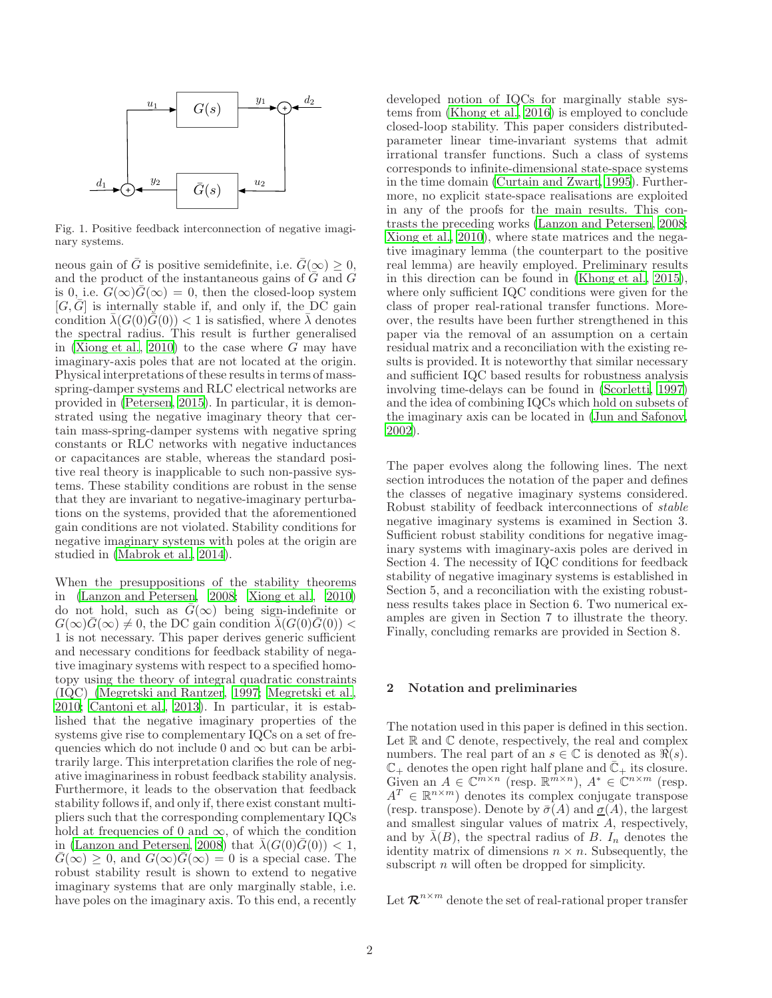

Fig. 1. Positive feedback interconnection of negative imaginary systems.

neous gain of  $\overline{G}$  is positive semidefinite, i.e.  $\overline{G}(\infty) \geq 0$ , and the product of the instantaneous gains of  $\overline{G}$  and  $\overline{G}$ is 0, i.e.  $G(\infty)G(\infty) = 0$ , then the closed-loop system  $[G,\overline{G}]$  is internally stable if, and only if, the DC gain condition  $\overline{\lambda}(G(0)\overline{G}(0))$  < 1 is satisfied, where  $\overline{\lambda}$  denotes the spectral radius. This result is further generalised in [\(Xiong et al., 2010\)](#page-9-8) to the case where  $G$  may have imaginary-axis poles that are not located at the origin. Physical interpretations of these results in terms of massspring-damper systems and RLC electrical networks are provided in [\(Petersen](#page-9-15), [2015\)](#page-9-15). In particular, it is demonstrated using the negative imaginary theory that certain mass-spring-damper systems with negative spring constants or RLC networks with negative inductances or capacitances are stable, whereas the standard positive real theory is inapplicable to such non-passive systems. These stability conditions are robust in the sense that they are invariant to negative-imaginary perturbations on the systems, provided that the aforementioned gain conditions are not violated. Stability conditions for negative imaginary systems with poles at the origin are studied in [\(Mabrok et al.](#page-9-16), [2014\)](#page-9-16).

When the presuppositions of the stability theorems in [\(Lanzon and Petersen, 2008](#page-9-0); [Xiong et al., 2010\)](#page-9-8) do not hold, such as  $\bar{G}(\infty)$  being sign-indefinite or  $G(\infty)G(\infty) \neq 0$ , the DC gain condition  $\lambda(G(0)G(0))$  < 1 is not necessary. This paper derives generic sufficient and necessary conditions for feedback stability of negative imaginary systems with respect to a specified homotopy using the theory of integral quadratic constraints (IQC) [\(Megretski and Rantzer, 1997;](#page-9-17) [Megretski et al.,](#page-9-18) [2010;](#page-9-18) [Cantoni et al., 2013](#page-9-19)). In particular, it is established that the negative imaginary properties of the systems give rise to complementary IQCs on a set of frequencies which do not include 0 and  $\infty$  but can be arbitrarily large. This interpretation clarifies the role of negative imaginariness in robust feedback stability analysis. Furthermore, it leads to the observation that feedback stability follows if, and only if, there exist constant multipliers such that the corresponding complementary IQCs hold at frequencies of 0 and  $\infty$ , of which the condition in [\(Lanzon and Petersen](#page-9-0), [2008\)](#page-9-0) that  $\bar{\lambda}(G(0)\bar{G}(0)) < 1$ ,  $\overline{G}(\infty) \geq 0$ , and  $G(\infty)\overline{G}(\infty) = 0$  is a special case. The robust stability result is shown to extend to negative imaginary systems that are only marginally stable, i.e. have poles on the imaginary axis. To this end, a recently developed notion of IQCs for marginally stable systems from [\(Khong et al., 2016\)](#page-9-20) is employed to conclude closed-loop stability. This paper considers distributedparameter linear time-invariant systems that admit irrational transfer functions. Such a class of systems corresponds to infinite-dimensional state-space systems in the time domain [\(Curtain and Zwart, 1995\)](#page-9-21). Furthermore, no explicit state-space realisations are exploited in any of the proofs for the main results. This contrasts the preceding works [\(Lanzon and Petersen, 2008;](#page-9-0) [Xiong et al.](#page-9-8), [2010](#page-9-8)), where state matrices and the negative imaginary lemma (the counterpart to the positive real lemma) are heavily employed. Preliminary results in this direction can be found in [\(Khong et al., 2015](#page-9-22)), where only sufficient IQC conditions were given for the class of proper real-rational transfer functions. Moreover, the results have been further strengthened in this paper via the removal of an assumption on a certain residual matrix and a reconciliation with the existing results is provided. It is noteworthy that similar necessary and sufficient IQC based results for robustness analysis involving time-delays can be found in [\(Scorletti, 1997\)](#page-9-23) and the idea of combining IQCs which hold on subsets of the imaginary axis can be located in [\(Jun and Safonov,](#page-9-24) [2002\)](#page-9-24).

The paper evolves along the following lines. The next section introduces the notation of the paper and defines the classes of negative imaginary systems considered. Robust stability of feedback interconnections of *stable* negative imaginary systems is examined in Section 3. Sufficient robust stability conditions for negative imaginary systems with imaginary-axis poles are derived in Section 4. The necessity of IQC conditions for feedback stability of negative imaginary systems is established in Section 5, and a reconciliation with the existing robustness results takes place in Section 6. Two numerical examples are given in Section 7 to illustrate the theory. Finally, concluding remarks are provided in Section 8.

## 2 Notation and preliminaries

The notation used in this paper is defined in this section. Let  $\mathbb R$  and  $\mathbb C$  denote, respectively, the real and complex numbers. The real part of an  $s \in \mathbb{C}$  is denoted as  $\Re(s)$ .  $\mathbb{C}_+$  denotes the open right half plane and  $\mathbb{C}_+$  its closure. Given an  $A \in \mathbb{C}^{m \times n}$  (resp.  $\mathbb{R}^{m \times n}$ ),  $A^* \in \mathbb{C}^{n \times m}$  (resp.  $A^T \in \mathbb{R}^{n \times m}$  denotes its complex conjugate transpose (resp. transpose). Denote by  $\bar{\sigma}(A)$  and  $\underline{\sigma}(A)$ , the largest and smallest singular values of matrix A, respectively, and by  $\overline{\lambda}(B)$ , the spectral radius of B. I<sub>n</sub> denotes the identity matrix of dimensions  $n \times n$ . Subsequently, the subscript  $n$  will often be dropped for simplicity.

Let  $\mathcal{R}^{n \times m}$  denote the set of real-rational proper transfer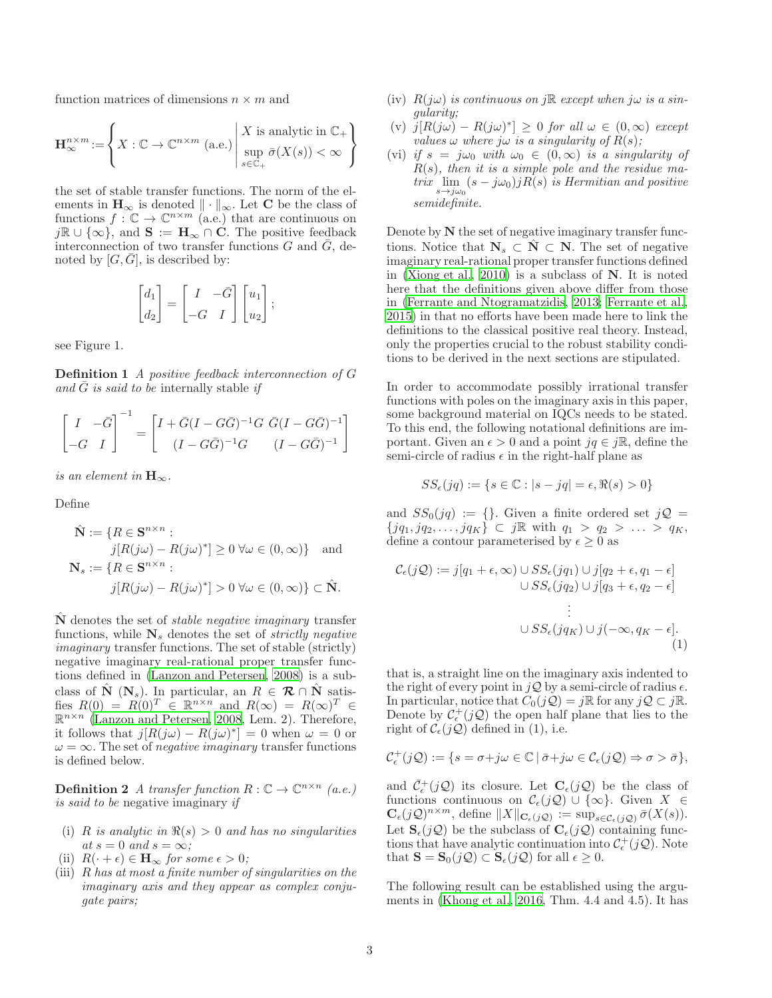function matrices of dimensions  $n \times m$  and

$$
\mathbf{H}^{n\times m}_\infty\!:=\!\left\{X:\mathbb{C}\to\mathbb{C}^{n\times m}\,\left(\text{a.e.}\right)\left|\begin{array}{l} X\,\,\text{is analytic in}\,\,\mathbb{C}_+\\ \sup\limits_{s\in\mathbb{C}_+}\bar{\sigma}(X(s))<\infty\end{array}\right.\right\}
$$

the set of stable transfer functions. The norm of the elements in  $H_{\infty}$  is denoted  $\|\cdot\|_{\infty}$ . Let C be the class of functions  $f: \mathbb{C} \to \mathbb{C}^{n \times m}$  (a.e.) that are continuous on  $j\mathbb{R} \cup {\infty}$ , and  $S := H_\infty \cap C$ . The positive feedback interconnection of two transfer functions  $G$  and  $\overline{G}$ , denoted by  $[G, G]$ , is described by:

$$
\begin{bmatrix} d_1 \\ d_2 \end{bmatrix} = \begin{bmatrix} I & -\bar{G} \\ -G & I \end{bmatrix} \begin{bmatrix} u_1 \\ u_2 \end{bmatrix};
$$

see Figure 1.

Definition 1 *A positive feedback interconnection of* G and  $\tilde{G}$  *is said to be* internally stable *if* 

$$
\begin{bmatrix} I & -\bar{G} \\ -G & I \end{bmatrix}^{-1} = \begin{bmatrix} I + \bar{G}(I - G\bar{G})^{-1}G & \bar{G}(I - G\bar{G})^{-1} \\ (I - G\bar{G})^{-1}G & (I - G\bar{G})^{-1} \end{bmatrix}
$$

*is an element in*  $\mathbf{H}_{\infty}$ .

Define

$$
\hat{\mathbf{N}} := \{ R \in \mathbf{S}^{n \times n} : \nj[R(j\omega) - R(j\omega)^*] \ge 0 \,\forall \omega \in (0, \infty) \} \text{ and } \mathbf{N}_s := \{ R \in \mathbf{S}^{n \times n} : \nj[R(j\omega) - R(j\omega)^*] > 0 \,\forall \omega \in (0, \infty) \} \subset \hat{\mathbf{N}}.
$$

Nˆ denotes the set of *stable negative imaginary* transfer functions, while  $N_s$  denotes the set of *strictly negative imaginary* transfer functions. The set of stable (strictly) negative imaginary real-rational proper transfer functions defined in [\(Lanzon and Petersen, 2008](#page-9-0)) is a subclass of  $\hat{\mathbf{N}}$  ( $\mathbf{N}_s$ ). In particular, an  $R \in \mathcal{R} \cap \hat{\mathbf{N}}$  satisfies  $R(0) = R(0)^T \in \mathbb{R}^{n \times n}$  and  $R(\infty) = R(\infty)^T \in$  $\mathbb{R}^{n \times n}$  [\(Lanzon and Petersen, 2008,](#page-9-0) Lem. 2). Therefore, it follows that  $j[R(j\omega) - R(j\omega)^*] = 0$  when  $\omega = 0$  or  $\omega = \infty$ . The set of *negative imaginary* transfer functions is defined below.

**Definition 2** *A transfer function*  $R : \mathbb{C} \to \mathbb{C}^{n \times n}$  *(a.e.) is said to be* negative imaginary *if*

- (i) R *is analytic in*  $\Re(s) > 0$  *and has no singularities*  $at s = 0$  *and*  $s = \infty$ ;
- (ii)  $R(\cdot + \epsilon) \in \mathbf{H}_{\infty}$  *for some*  $\epsilon > 0$ *;*
- (iii) R *has at most a finite number of singularities on the imaginary axis and they appear as complex conjugate pairs;*
- (iv)  $R(i\omega)$  *is continuous on*  $i\mathbb{R}$  *except when*  $i\omega$  *is a singularity;*
- $(v)$   $j[R(j\omega) R(j\omega)^*] \geq 0$  *for all*  $\omega \in (0, \infty)$  *except values*  $\omega$  *where*  $j\omega$  *is a singularity of*  $R(s)$ *;*
- (vi) *if*  $s = j\omega_0$  *with*  $\omega_0 \in (0, \infty)$  *is a singularity of* R(s)*, then it is a simple pole and the residue matrix*  $\lim_{s \to j\omega_0} (s - j\omega_0) jR(s)$  *is Hermitian and positive semidefinite.*

Denote by N the set of negative imaginary transfer functions. Notice that  $\mathbf{N}_s \subset \mathbf{N} \subset \mathbf{N}$ . The set of negative imaginary real-rational proper transfer functions defined in [\(Xiong et al., 2010](#page-9-8)) is a subclass of N. It is noted here that the definitions given above differ from those in [\(Ferrante and Ntogramatzidis](#page-9-12), [2013;](#page-9-12) [Ferrante et al.,](#page-9-13) [2015\)](#page-9-13) in that no efforts have been made here to link the definitions to the classical positive real theory. Instead, only the properties crucial to the robust stability conditions to be derived in the next sections are stipulated.

In order to accommodate possibly irrational transfer functions with poles on the imaginary axis in this paper, some background material on IQCs needs to be stated. To this end, the following notational definitions are important. Given an  $\epsilon > 0$  and a point  $jq \in j\mathbb{R}$ , define the semi-circle of radius  $\epsilon$  in the right-half plane as

$$
SS_{\epsilon}(jq) := \{ s \in \mathbb{C} : |s - jq| = \epsilon, \Re(s) > 0 \}
$$

and  $SS_0(jq) := \{\}.$  Given a finite ordered set  $jQ =$  ${jq_1, jq_2, \ldots, jq_K} \subset j\mathbb{R}$  with  $q_1 > q_2 > \ldots > q_K$ , define a contour parameterised by  $\epsilon \geq 0$  as

$$
\mathcal{C}_{\epsilon}(j\mathcal{Q}) := j[q_1 + \epsilon, \infty) \cup SS_{\epsilon}(jq_1) \cup j[q_2 + \epsilon, q_1 - \epsilon] \cup SS_{\epsilon}(jq_2) \cup j[q_3 + \epsilon, q_2 - \epsilon] \quad \vdots \quad \cup SS_{\epsilon}(jq_K) \cup j(-\infty, q_K - \epsilon]. \tag{1}
$$

that is, a straight line on the imaginary axis indented to the right of every point in  $jQ$  by a semi-circle of radius  $\epsilon$ . In particular, notice that  $C_0(j\mathcal{Q}) = j\mathbb{R}$  for any  $j\mathcal{Q} \subset j\mathbb{R}$ . Denote by  $\mathcal{C}_{\epsilon}^{+}(j\mathcal{Q})$  the open half plane that lies to the right of  $\mathcal{C}_{\epsilon}(j\mathcal{Q})$  defined in (1), i.e.

$$
\mathcal{C}_{\epsilon}^{+}(j\mathcal{Q}):=\{s=\sigma+j\omega\in\mathbb{C}\,|\,\bar{\sigma}+j\omega\in\mathcal{C}_{\epsilon}(j\mathcal{Q})\Rightarrow\sigma>\bar{\sigma}\},\
$$

and  $\bar{C}_{\epsilon}^{+}(j\mathcal{Q})$  its closure. Let  $\mathbf{C}_{\epsilon}(j\mathcal{Q})$  be the class of functions continuous on  $\mathcal{C}_{\epsilon}(j\mathcal{Q}) \cup {\infty}$ . Given  $X \in$  $\mathbf{C}_{\epsilon}(j\mathcal{Q})^{n\times m}$ , define  $||X||_{\mathbf{C}_{\epsilon}(j\mathcal{Q})} := \sup_{s\in\mathcal{C}_{\epsilon}(j\mathcal{Q})} \bar{\sigma}(X(s)).$ Let  $\mathbf{S}_{\epsilon}(i\mathcal{Q})$  be the subclass of  $\mathbf{C}_{\epsilon}(i\mathcal{Q})$  containing functions that have analytic continuation into  $\mathcal{C}_{\epsilon}^{+}(j\mathcal{Q})$ . Note that  $\mathbf{S} = \mathbf{S}_0(j\mathcal{Q}) \subset \mathbf{S}_{\epsilon}(j\mathcal{Q})$  for all  $\epsilon \geq 0$ .

The following result can be established using the arguments in [\(Khong et al., 2016,](#page-9-20) Thm. 4.4 and 4.5). It has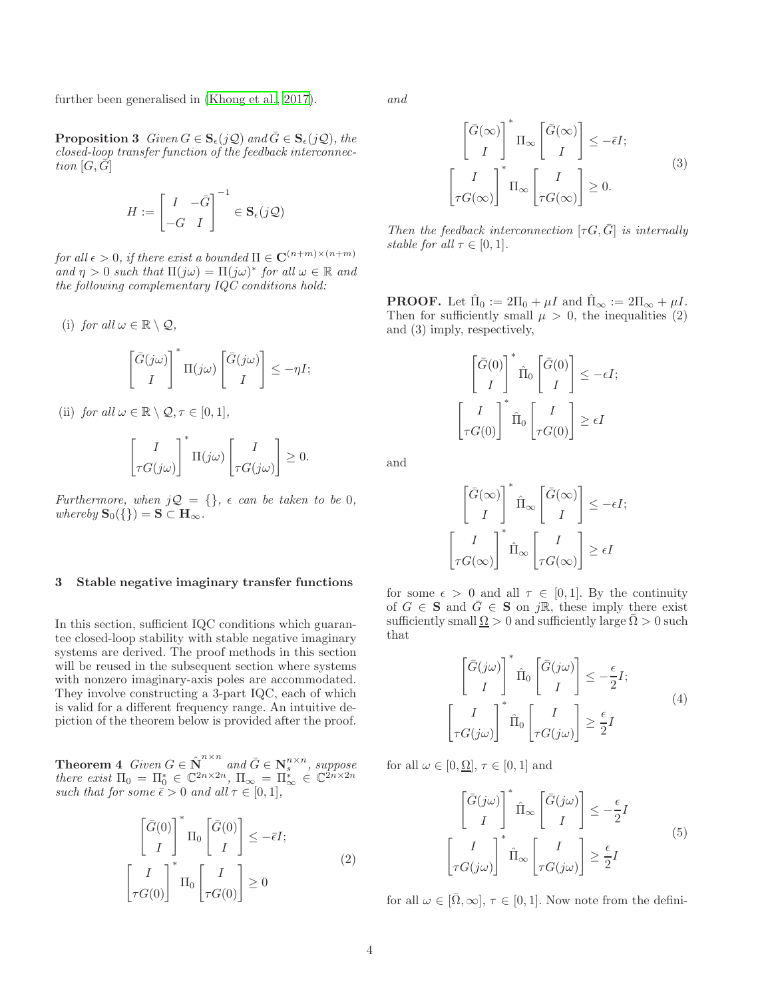further been generalised in [\(Khong et al.](#page-9-25), [2017](#page-9-25)).

**Proposition 3** *Given*  $G \in \mathbf{S}_{\epsilon}(j\mathcal{Q})$  *and*  $\bar{G} \in \mathbf{S}_{\epsilon}(j\mathcal{Q})$ *, the closed-loop transfer function of the feedback interconnection*  $[G, \overline{G}]$ 

$$
H := \begin{bmatrix} I & -\bar{G} \\ -G & I \end{bmatrix}^{-1} \in \mathbf{S}_{\epsilon}(j\mathcal{Q})
$$

*for all*  $\epsilon > 0$ *, if there exist a bounded*  $\Pi \in \mathbf{C}^{(n+m)\times (n+m)}$  $\int_a$  *and*  $\eta > 0$  *such that*  $\Pi(j\omega) = \Pi(j\omega)^*$  *for all*  $\omega \in \mathbb{R}$  *and the following complementary IQC conditions hold:*

(i) *for all*  $\omega \in \mathbb{R} \setminus \mathcal{Q}$ ,

$$
\begin{bmatrix} \bar{G}(j\omega) \\ I \end{bmatrix}^* \Pi(j\omega) \begin{bmatrix} \bar{G}(j\omega) \\ I \end{bmatrix} \le -\eta I;
$$

(ii) *for all*  $\omega \in \mathbb{R} \setminus \mathcal{Q}, \tau \in [0, 1]$ *,* 

$$
\begin{bmatrix} I \\ \tau G(j\omega) \end{bmatrix}^* \Pi(j\omega) \begin{bmatrix} I \\ \tau G(j\omega) \end{bmatrix} \geq 0.
$$

*Furthermore, when*  $jQ = \{\}$ ,  $\epsilon$  *can be taken to be* 0*, whereby*  $\mathbf{S}_0({\{\}) = \mathbf{S} \subset \mathbf{H}_{\infty}.$ 

## 3 Stable negative imaginary transfer functions

In this section, sufficient IQC conditions which guarantee closed-loop stability with stable negative imaginary systems are derived. The proof methods in this section will be reused in the subsequent section where systems with nonzero imaginary-axis poles are accommodated. They involve constructing a 3-part IQC, each of which is valid for a different frequency range. An intuitive depiction of the theorem below is provided after the proof.

**Theorem 4** *Given*  $G \in \hat{N}^{n \times n}$  and  $\bar{G} \in \mathbf{N}^{n \times n}$ , suppose *there exist*  $\Pi_0 = \Pi_0^* \in \mathbb{C}^{2n \times 2n}$ ,  $\Pi_{\infty} = \Pi_{\infty}^* \in \mathbb{C}^{2n \times 2n}$ *such that for some*  $\bar{\epsilon} > 0$  *and all*  $\tau \in [0, 1]$ *,* 

$$
\begin{bmatrix} \bar{G}(0) \\ I \end{bmatrix}^* \Pi_0 \begin{bmatrix} \bar{G}(0) \\ I \end{bmatrix} \le -\bar{\epsilon}I; \\
\begin{bmatrix} I \\ \tau G(0) \end{bmatrix}^* \Pi_0 \begin{bmatrix} I \\ \tau G(0) \end{bmatrix} \ge 0
$$
\n(2)

*and*

$$
\begin{bmatrix} \bar{G}(\infty) \\ I \end{bmatrix}^* \Pi_{\infty} \begin{bmatrix} \bar{G}(\infty) \\ I \end{bmatrix} \le -\bar{\epsilon}I; \begin{bmatrix} I \\ \tau G(\infty) \end{bmatrix}^* \Pi_{\infty} \begin{bmatrix} I \\ \tau G(\infty) \end{bmatrix} \ge 0.
$$
\n(3)

*Then the feedback interconnection*  $[\tau G, \bar{G}]$  *is internally stable for all*  $\tau \in [0, 1]$ *.* 

**PROOF.** Let  $\hat{\Pi}_0 := 2\Pi_0 + \mu I$  and  $\hat{\Pi}_{\infty} := 2\Pi_{\infty} + \mu I$ . Then for sufficiently small  $\mu > 0$ , the inequalities (2) and (3) imply, respectively,

$$
\begin{bmatrix} \bar{G}(0) \\ I \end{bmatrix}^* \hat{\Pi}_0 \begin{bmatrix} \bar{G}(0) \\ I \end{bmatrix} \le -\epsilon I;
$$

$$
\begin{bmatrix} I \\ \tau G(0) \end{bmatrix}^* \hat{\Pi}_0 \begin{bmatrix} I \\ \tau G(0) \end{bmatrix} \ge \epsilon I
$$

and

$$
\begin{bmatrix} \bar{G}(\infty) \\ I \end{bmatrix}^* \hat{\Pi}_{\infty} \begin{bmatrix} \bar{G}(\infty) \\ I \end{bmatrix} \le -\epsilon I;
$$
  

$$
\begin{bmatrix} I \\ \tau G(\infty) \end{bmatrix}^* \hat{\Pi}_{\infty} \begin{bmatrix} I \\ \tau G(\infty) \end{bmatrix} \ge \epsilon I
$$

for some  $\epsilon > 0$  and all  $\tau \in [0,1]$ . By the continuity of  $G \in \mathbf{S}$  and  $\overline{G} \in \mathbf{S}$  on jR, these imply there exist sufficiently small  $\Omega > 0$  and sufficiently large  $\Omega > 0$  such that

$$
\begin{bmatrix} \bar{G}(j\omega) \\ I \end{bmatrix}^* \hat{\Pi}_0 \begin{bmatrix} \bar{G}(j\omega) \\ I \end{bmatrix} \le -\frac{\epsilon}{2} I; \\
\begin{bmatrix} I \\ \tau G(j\omega) \end{bmatrix}^* \hat{\Pi}_0 \begin{bmatrix} I \\ \tau G(j\omega) \end{bmatrix} \ge \frac{\epsilon}{2} I
$$
\n(4)

for all  $\omega \in [0, \Omega], \tau \in [0, 1]$  and

$$
\begin{bmatrix} \bar{G}(j\omega) \\ I \end{bmatrix}^* \hat{\Pi}_{\infty} \begin{bmatrix} \bar{G}(j\omega) \\ I \end{bmatrix} \le -\frac{\epsilon}{2}I
$$

$$
\begin{bmatrix} I \\ \tau G(j\omega) \end{bmatrix}^* \hat{\Pi}_{\infty} \begin{bmatrix} I \\ \tau G(j\omega) \end{bmatrix} \ge \frac{\epsilon}{2}I
$$

$$
(5)
$$

for all  $\omega \in [\overline{\Omega}, \infty], \tau \in [0, 1]$ . Now note from the defini-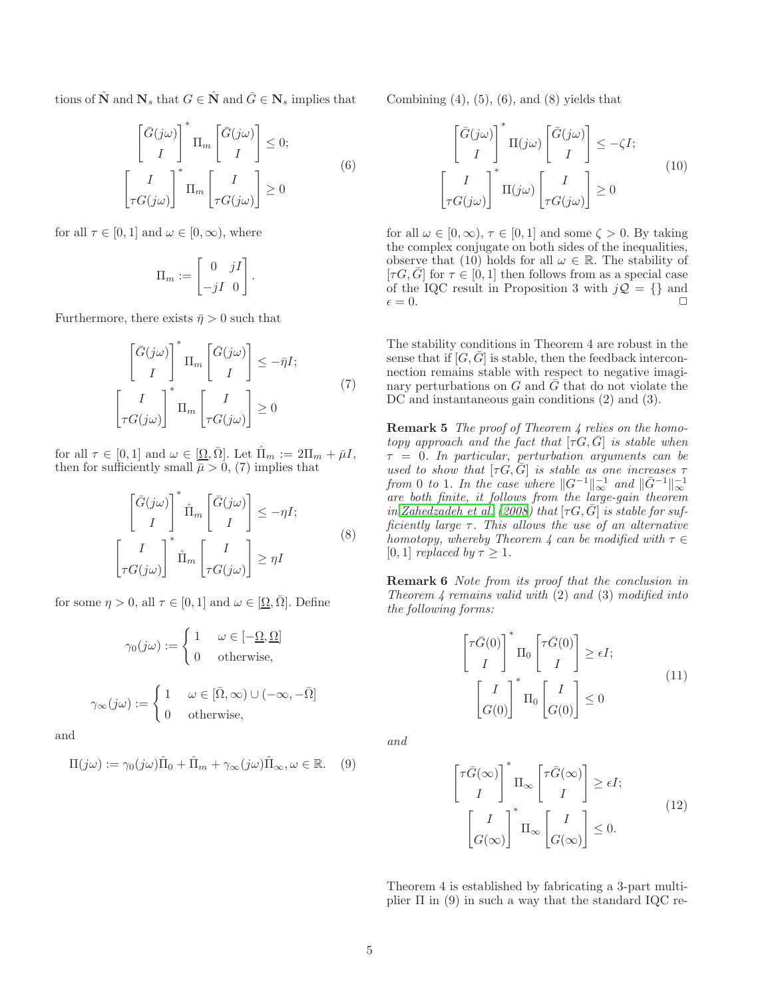tions of  $\hat{\mathbf{N}}$  and  $\mathbf{N}_s$  that  $G \in \hat{\mathbf{N}}$  and  $\bar{G} \in \mathbf{N}_s$  implies that

$$
\begin{bmatrix} \bar{G}(j\omega) \\ I \end{bmatrix}^* \Pi_m \begin{bmatrix} \bar{G}(j\omega) \\ I \end{bmatrix} \le 0; \begin{bmatrix} I \\ \tau G(j\omega) \end{bmatrix}^* \Pi_m \begin{bmatrix} I \\ \tau G(j\omega) \end{bmatrix} \ge 0
$$
\n(6)

for all  $\tau \in [0, 1]$  and  $\omega \in [0, \infty)$ , where

$$
\Pi_m := \begin{bmatrix} 0 & jI \\ -jI & 0 \end{bmatrix}.
$$

Furthermore, there exists  $\bar{\eta} > 0$  such that

$$
\begin{bmatrix} \bar{G}(j\omega) \\ I \end{bmatrix}^* \Pi_m \begin{bmatrix} \bar{G}(j\omega) \\ I \end{bmatrix} \le -\bar{\eta}I; \\
\begin{bmatrix} I \\ \tau G(j\omega) \end{bmatrix}^* \Pi_m \begin{bmatrix} I \\ \tau G(j\omega) \end{bmatrix} \ge 0
$$
\n(7)

for all  $\tau \in [0, 1]$  and  $\omega \in [\Omega, \overline{\Omega}]$ . Let  $\hat{\Pi}_m := 2\Pi_m + \overline{\mu}I$ , then for sufficiently small  $\overline{\overline{\mu}} > 0$ , (7) implies that

$$
\begin{bmatrix} \bar{G}(j\omega) \\ I \end{bmatrix}^* \hat{\Pi}_m \begin{bmatrix} \bar{G}(j\omega) \\ I \end{bmatrix} \le -\eta I; \begin{bmatrix} I \\ \tau G(j\omega) \end{bmatrix}^* \hat{\Pi}_m \begin{bmatrix} I \\ \tau G(j\omega) \end{bmatrix} \ge \eta I
$$
\n(8)

for some  $\eta > 0$ , all  $\tau \in [0, 1]$  and  $\omega \in [\Omega, \overline{\Omega}]$ . Define

$$
\gamma_0(j\omega) := \begin{cases} 1 & \omega \in [-\underline{\Omega}, \underline{\Omega}] \\ 0 & \text{otherwise,} \end{cases}
$$

$$
\gamma_\infty(j\omega) := \begin{cases} 1 & \omega \in [\bar{\Omega}, \infty) \cup (-\infty, -\bar{\Omega}] \\ 0 & \text{otherwise,} \end{cases}
$$

and

$$
\Pi(j\omega) := \gamma_0(j\omega)\hat{\Pi}_0 + \hat{\Pi}_m + \gamma_\infty(j\omega)\hat{\Pi}_\infty, \omega \in \mathbb{R}.
$$
 (9)

Combining  $(4)$ ,  $(5)$ ,  $(6)$ , and  $(8)$  yields that

$$
\begin{bmatrix} \bar{G}(j\omega) \\ I \end{bmatrix}^* \Pi(j\omega) \begin{bmatrix} \bar{G}(j\omega) \\ I \end{bmatrix} \le -\zeta I; \begin{bmatrix} I \\ \tau G(j\omega) \end{bmatrix}^* \Pi(j\omega) \begin{bmatrix} I \\ \tau G(j\omega) \end{bmatrix} \ge 0
$$
\n(10)

for all  $\omega \in [0, \infty)$ ,  $\tau \in [0, 1]$  and some  $\zeta > 0$ . By taking the complex conjugate on both sides of the inequalities, observe that (10) holds for all  $\omega \in \mathbb{R}$ . The stability of  $[\tau G, \bar{G}]$  for  $\tau \in [0, 1]$  then follows from as a special case of the IQC result in Proposition 3 with  $j\mathcal{Q} = \{\}\$ and  $\epsilon = 0.$ 

The stability conditions in Theorem 4 are robust in the sense that if  $[G,\overline{G}]$  is stable, then the feedback interconnection remains stable with respect to negative imaginary perturbations on  $G$  and  $\bar{G}$  that do not violate the DC and instantaneous gain conditions  $(2)$  and  $(3)$ .

Remark 5 *The proof of Theorem 4 relies on the homotopy approach and the fact that*  $[\tau G, \bar{G}]$  *is stable when* τ = 0*. In particular, perturbation arguments can be used to show that*  $[\tau G, \bar{G}]$  *is stable as one increases*  $\tau$ *from* 0 *to* 1*.* In the case where  $||G^{-1}||_{\infty}^{-1}$  and  $||\bar{G}^{-1}||_{\infty}^{-1}$  are both finite, it follows from the large-gain theorem *in* [Zahedzadeh et al. \(2008\)](#page-10-0) that  $[\tau G, \bar{G}]$  *is stable for sufficiently large* τ*. This allows the use of an alternative homotopy, whereby Theorem 4 can be modified with*  $\tau \in$ [0, 1] *replaced by*  $\tau \geq 1$ *.* 

Remark 6 *Note from its proof that the conclusion in Theorem 4 remains valid with* (2) *and* (3) *modified into the following forms:*

$$
\begin{bmatrix} \tau \bar{G}(0) \\ I \end{bmatrix}^* \Pi_0 \begin{bmatrix} \tau \bar{G}(0) \\ I \end{bmatrix} \ge \epsilon I; \\
\begin{bmatrix} I \\ G(0) \end{bmatrix}^* \Pi_0 \begin{bmatrix} I \\ G(0) \end{bmatrix} \le 0
$$
\n(11)

*and*

$$
\begin{bmatrix} \tau \bar{G}(\infty) \\ I \end{bmatrix}^* \Pi_{\infty} \begin{bmatrix} \tau \bar{G}(\infty) \\ I \end{bmatrix} \ge \epsilon I; \qquad (12)
$$

$$
\begin{bmatrix} I \\ G(\infty) \end{bmatrix}^* \Pi_{\infty} \begin{bmatrix} I \\ G(\infty) \end{bmatrix} \le 0.
$$

Theorem 4 is established by fabricating a 3-part multiplier  $\Pi$  in (9) in such a way that the standard IQC re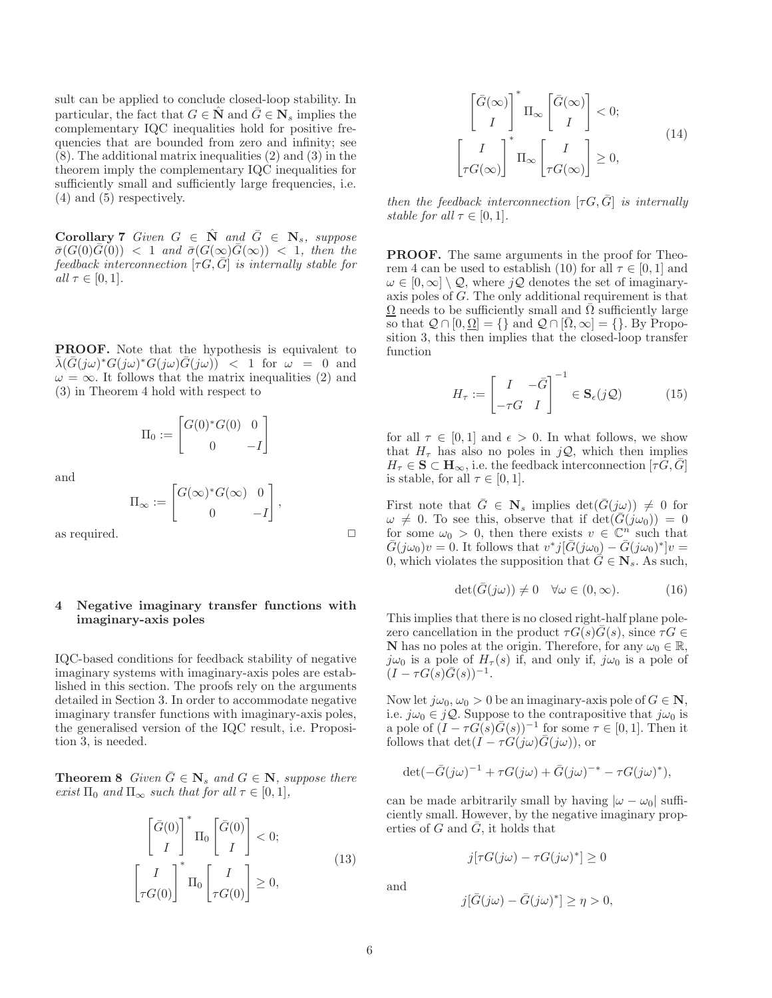sult can be applied to conclude closed-loop stability. In particular, the fact that  $G \in \mathbb{N}$  and  $\overline{G} \in \mathbb{N}_s$  implies the complementary IQC inequalities hold for positive frequencies that are bounded from zero and infinity; see (8). The additional matrix inequalities (2) and (3) in the theorem imply the complementary IQC inequalities for sufficiently small and sufficiently large frequencies, i.e. (4) and (5) respectively.

**Corollary 7** Given  $G \in \mathbb{N}$  and  $\overline{G} \in \mathbb{N}_s$ , suppose  $\bar{\sigma}(G(0)\bar{G}(0))$  < 1 *and*  $\bar{\sigma}(G(\infty)\bar{G}(\infty))$  < 1*, then the feedback interconnection*  $[\tau G, \overline{G}]$  *is internally stable for*  $all \tau \in [0,1].$ 

PROOF. Note that the hypothesis is equivalent to  $\bar{\lambda}(\bar{G}(j\omega)^*G(j\omega)^*G(j\omega)\bar{G}(j\omega))$  < 1 for  $\omega = 0$  and  $\omega = \infty$ . It follows that the matrix inequalities (2) and (3) in Theorem 4 hold with respect to

$$
\Pi_0 := \begin{bmatrix} G(0)^* G(0) & 0 \\ 0 & -I \end{bmatrix}
$$

 $\Pi_\infty := \begin{bmatrix} G(\infty)^* G(\infty) & 0 \end{bmatrix}$ 

0  $-I$ 

1 ,

and

as required.  $\hfill \Box$ 

## 4 Negative imaginary transfer functions with imaginary-axis poles

IQC-based conditions for feedback stability of negative imaginary systems with imaginary-axis poles are established in this section. The proofs rely on the arguments detailed in Section 3. In order to accommodate negative imaginary transfer functions with imaginary-axis poles, the generalised version of the IQC result, i.e. Proposition 3, is needed.

**Theorem 8** *Given*  $\bar{G} \in \mathbf{N}_s$  *and*  $G \in \mathbf{N}$ *, suppose there exist*  $\Pi_0$  *and*  $\Pi_{\infty}$  *such that for all*  $\tau \in [0, 1]$ *,* 

$$
\begin{bmatrix} \bar{G}(0) \\ I \end{bmatrix}^* \Pi_0 \begin{bmatrix} \bar{G}(0) \\ I \end{bmatrix} < 0; \begin{bmatrix} I \\ \tau G(0) \end{bmatrix}^* \Pi_0 \begin{bmatrix} I \\ \tau G(0) \end{bmatrix} \ge 0,
$$
\n(13)

$$
\begin{bmatrix} \bar{G}(\infty) \\ I \end{bmatrix}^* \Pi_{\infty} \begin{bmatrix} \bar{G}(\infty) \\ I \end{bmatrix} < 0; \begin{bmatrix} I \\ \tau G(\infty) \end{bmatrix}^* \Pi_{\infty} \begin{bmatrix} I \\ \tau G(\infty) \end{bmatrix} \ge 0,
$$
\n(14)

*then the feedback interconnection*  $[\tau G, \overline{G}]$  *is internally stable for all*  $\tau \in [0, 1]$ *.* 

PROOF. The same arguments in the proof for Theorem 4 can be used to establish (10) for all  $\tau \in [0, 1]$  and  $\omega \in [0,\infty] \setminus \mathcal{Q}$ , where  $j\mathcal{Q}$  denotes the set of imaginaryaxis poles of G. The only additional requirement is that  $\Omega$  needs to be sufficiently small and  $\overline{\Omega}$  sufficiently large so that  $\mathcal{Q} \cap [0, \Omega] = \{\}$  and  $\mathcal{Q} \cap [\overline{\Omega}, \infty] = \{\}$ . By Proposition 3, this then implies that the closed-loop transfer function

$$
H_{\tau} := \begin{bmatrix} I & -\bar{G} \\ -\tau G & I \end{bmatrix}^{-1} \in \mathbf{S}_{\epsilon}(j\mathcal{Q}) \tag{15}
$$

for all  $\tau \in [0, 1]$  and  $\epsilon > 0$ . In what follows, we show that  $H_{\tau}$  has also no poles in  $jQ$ , which then implies  $H_{\tau} \in \mathbf{S} \subset \mathbf{H}_{\infty}$ , i.e. the feedback interconnection  $[\tau G, \bar{G}]$ is stable, for all  $\tau \in [0, 1]$ .

First note that  $\overline{G} \in \mathbf{N}_s$  implies  $\det(\overline{G}(j\omega)) \neq 0$  for  $\omega \neq 0$ . To see this, observe that if  $\det(\bar{G}(j\omega_0)) = 0$ for some  $\omega_0 > 0$ , then there exists  $v \in \mathbb{C}^n$  such that  $\bar{G}(j\omega_0)v = 0.$  It follows that  $v^*j[\bar{G}(j\omega_0) - \bar{G}(j\omega_0)^*]v =$ 0, which violates the supposition that  $\bar{G} \in \mathbf{N}_s$ . As such,

$$
\det(\bar{G}(j\omega)) \neq 0 \quad \forall \omega \in (0, \infty). \tag{16}
$$

This implies that there is no closed right-half plane polezero cancellation in the product  $\tau G(s)\overline{G}(s)$ , since  $\tau G \in$ **N** has no poles at the origin. Therefore, for any  $\omega_0 \in \mathbb{R}$ ,  $j\omega_0$  is a pole of  $H_{\tau}(s)$  if, and only if,  $j\omega_0$  is a pole of  $(I - \tau G(s)\bar{G}(s))^{-1}.$ 

Now let  $j\omega_0, \omega_0 > 0$  be an imaginary-axis pole of  $G \in \mathbb{N}$ , i.e.  $j\omega_0 \in j\mathcal{Q}$ . Suppose to the contrapositive that  $j\omega_0$  is a pole of  $(I - \tau G(s)\overline{G}(s))^{-1}$  for some  $\tau \in [0,1]$ . Then it follows that  $\det(I - \tau G(j\omega)\overline{G}(j\omega))$ , or

$$
\det(-\bar{G}(j\omega)^{-1} + \tau G(j\omega) + \bar{G}(j\omega)^{-*} - \tau G(j\omega)^*),
$$

can be made arbitrarily small by having  $|\omega - \omega_0|$  sufficiently small. However, by the negative imaginary properties of G and  $\bar{G}$ , it holds that

$$
j[\tau G(j\omega) - \tau G(j\omega)^*] \ge 0
$$

and

$$
j[\bar{G}(j\omega) - \bar{G}(j\omega)^*] \ge \eta > 0,
$$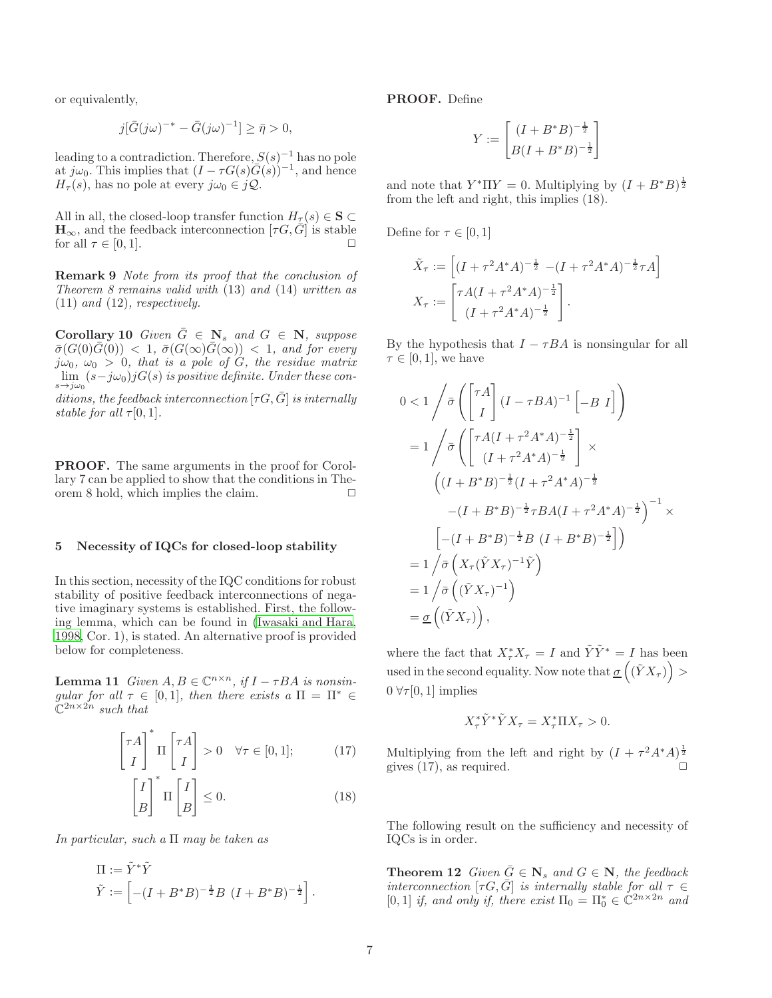or equivalently,

$$
j[\bar{G}(j\omega)^{-*} - \bar{G}(j\omega)^{-1}] \ge \bar{\eta} > 0,
$$

leading to a contradiction. Therefore,  $S(s)^{-1}$  has no pole at  $j\omega_0$ . This implies that  $(I - \tau G(s)\overline{G(s)})^{-1}$ , and hence  $H_{\tau}(s)$ , has no pole at every  $j\omega_0 \in j\mathcal{Q}$ .

All in all, the closed-loop transfer function  $H_\tau(s) \in \mathbf{S} \subset$  $\mathbf{H}_{\infty}$ , and the feedback interconnection  $[\tau G, \bar{G}]$  is stable<br>for all  $\tau \in [0, 1]$ . for all  $\tau \in [0, 1]$ .

Remark 9 *Note from its proof that the conclusion of Theorem 8 remains valid with* (13) *and* (14) *written as* (11) *and* (12)*, respectively.*

**Corollary 10** Given  $\overline{G} \in \mathbb{N}_s$  and  $G \in \mathbb{N}$ , suppose  $\bar{\sigma}(G(0)\bar{G}(0)) < 1, \bar{\sigma}(G(\infty)\bar{G}(\infty)) < 1, \text{ and for every}$  $j\omega_0$ ,  $\omega_0 > 0$ , that is a pole of G, the residue matrix  $\lim_{s\to j\omega_0}(s-j\omega_0)jG(s)$  is positive definite. Under these con-

*ditions, the feedback interconnection*  $[\tau G, \bar{G}]$  *is internally stable for all*  $\tau[0, 1]$ *.* 

PROOF. The same arguments in the proof for Corollary 7 can be applied to show that the conditions in Theorem 8 hold, which implies the claim.  $\Box$ 

## 5 Necessity of IQCs for closed-loop stability

In this section, necessity of the IQC conditions for robust stability of positive feedback interconnections of negative imaginary systems is established. First, the following lemma, which can be found in [\(Iwasaki and Hara,](#page-9-26) [1998,](#page-9-26) Cor. 1), is stated. An alternative proof is provided below for completeness.

**Lemma 11** *Given*  $A, B \in \mathbb{C}^{n \times n}$ , if  $I - \tau BA$  is nonsin*gular for all*  $\tau \in [0, 1]$ *, then there exists a*  $\Pi = \Pi^* \in$  $\mathbb{C}^{2n\times 2n}$  *such that* 

$$
\begin{bmatrix} \tau A \\ I \end{bmatrix}^* \Pi \begin{bmatrix} \tau A \\ I \end{bmatrix} > 0 \quad \forall \tau \in [0, 1]; \tag{17}
$$

$$
\begin{bmatrix} I \\ B \end{bmatrix}^* \Pi \begin{bmatrix} I \\ B \end{bmatrix} \le 0.
$$
 (18)

*In particular, such a* Π *may be taken as*

$$
\Pi := \tilde{Y}^* \tilde{Y}
$$
  

$$
\tilde{Y} := \left[ -(I + B^* B)^{-\frac{1}{2}} B (I + B^* B)^{-\frac{1}{2}} \right].
$$

PROOF. Define

$$
Y := \begin{bmatrix} (I + B^*B)^{-\frac{1}{2}} \\ B(I + B^*B)^{-\frac{1}{2}} \end{bmatrix}
$$

and note that  $Y^* \Pi Y = 0$ . Multiplying by  $(I + B^* B)^{\frac{1}{2}}$ from the left and right, this implies (18).

Define for  $\tau \in [0,1]$ 

$$
\tilde{X}_{\tau} := \left[ (I + \tau^2 A^* A)^{-\frac{1}{2}} - (I + \tau^2 A^* A)^{-\frac{1}{2}} \tau A \right]
$$

$$
X_{\tau} := \left[ \frac{\tau A (I + \tau^2 A^* A)^{-\frac{1}{2}}}{(I + \tau^2 A^* A)^{-\frac{1}{2}}} \right].
$$

By the hypothesis that  $I - \tau BA$  is nonsingular for all  $\tau \in [0,1]$ , we have

$$
0 < 1 \left/ \bar{\sigma} \left( \begin{bmatrix} \tau A \\ I \end{bmatrix} (I - \tau BA)^{-1} \begin{bmatrix} -B & I \end{bmatrix} \right) \right)
$$
\n
$$
= 1 \left/ \bar{\sigma} \left( \begin{bmatrix} \tau A (I + \tau^2 A^* A)^{-\frac{1}{2}} \\ (I + \tau^2 A^* A)^{-\frac{1}{2}} \end{bmatrix} \times \left( (I + B^* B)^{-\frac{1}{2}} (I + \tau^2 A^* A)^{-\frac{1}{2}} \right. \right.
$$
\n
$$
- (I + B^* B)^{-\frac{1}{2}} \tau BA (I + \tau^2 A^* A)^{-\frac{1}{2}} \right)^{-1} \times \left[ -(I + B^* B)^{-\frac{1}{2}} B (I + B^* B)^{-\frac{1}{2}} \right] \right)
$$
\n
$$
= 1 \left/ \bar{\sigma} \left( X_\tau (\tilde{Y} X_\tau)^{-1} \tilde{Y} \right)
$$
\n
$$
= 1 \left/ \bar{\sigma} \left( (\tilde{Y} X_\tau)^{-1} \right) \right.
$$
\n
$$
= \underline{\sigma} \left( (\tilde{Y} X_\tau) \right),
$$

where the fact that  $X^*_{\tau}X_{\tau} = I$  and  $\tilde{Y}\tilde{Y}^* = I$  has been used in the second equality. Now note that  $\sigma\left((\tilde Y X_\tau)\right)$  $0 \forall \tau[0,1]$  implies

$$
X_{\tau}^* \tilde{Y}^* \tilde{Y} X_{\tau} = X_{\tau}^* \Pi X_{\tau} > 0.
$$

Multiplying from the left and right by  $(I + \tau^2 A^* A)^{\frac{1}{2}}$ gives  $(17)$ , as required.

The following result on the sufficiency and necessity of IQCs is in order.

**Theorem 12** *Given*  $\overline{G} \in \mathbf{N}_s$  *and*  $G \in \mathbf{N}$ *, the feedback interconnection* [ $\tau G, \bar{G}$ ] *is internally stable for all*  $\tau \in$ [0, 1] *if, and only if, there exist*  $\Pi_0 = \Pi_0^* \in \mathbb{C}^{2n \times 2n}$  *and*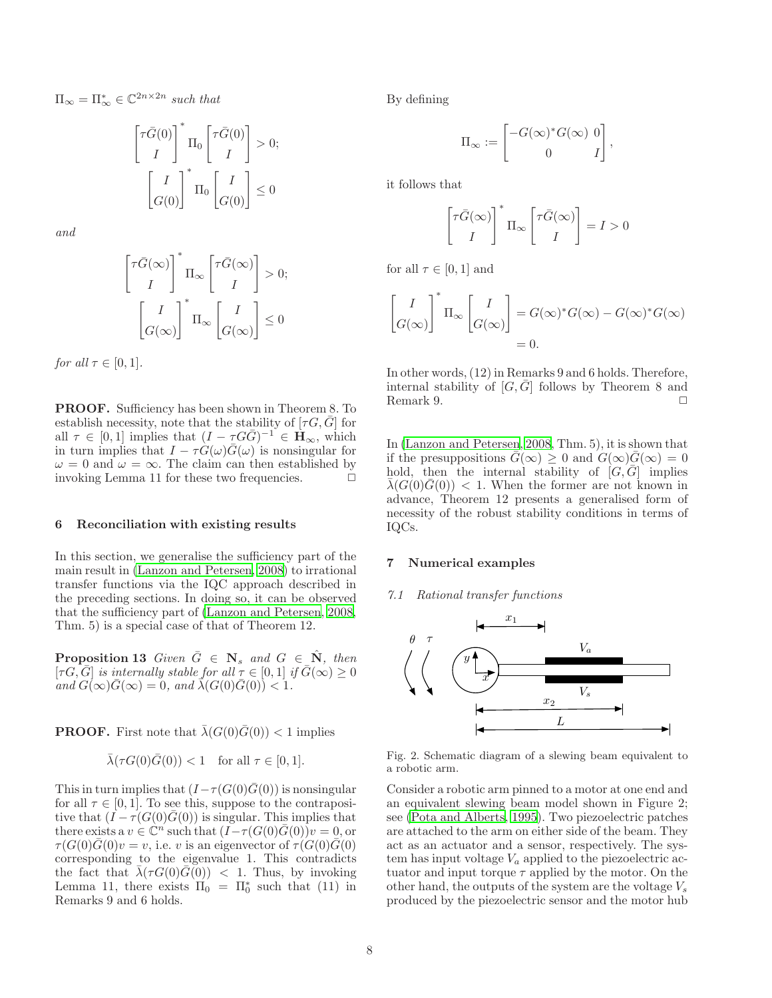$\Pi_{\infty} = \Pi_{\infty}^* \in \mathbb{C}^{2n \times 2n}$  *such that* 

$$
\begin{bmatrix} \tau \bar{G}(0) \\ I \end{bmatrix}^* \Pi_0 \begin{bmatrix} \tau \bar{G}(0) \\ I \end{bmatrix} > 0;
$$

$$
\begin{bmatrix} I \\ G(0) \end{bmatrix}^* \Pi_0 \begin{bmatrix} I \\ G(0) \end{bmatrix} \le 0
$$

*and*

$$
\begin{bmatrix} \tau \bar{G}(\infty) \\ I \end{bmatrix}^* \Pi_{\infty} \begin{bmatrix} \tau \bar{G}(\infty) \\ I \end{bmatrix} > 0;
$$
  

$$
\begin{bmatrix} I \\ G(\infty) \end{bmatrix}^* \Pi_{\infty} \begin{bmatrix} I \\ G(\infty) \end{bmatrix} \leq 0
$$

*for all*  $\tau \in [0, 1]$ *.* 

PROOF. Sufficiency has been shown in Theorem 8. To establish necessity, note that the stability of  $[\tau G, \bar{G}]$  for all  $\tau \in [0,1]$  implies that  $(I - \tau G \overline{G})^{-1} \in \mathbf{H}_{\infty}$ , which in turn implies that  $I - \tau \hat{G}(\omega) \overline{\hat{G}}(\omega)$  is nonsingular for  $\omega = 0$  and  $\omega = \infty$ . The claim can then established by invoking Lemma 11 for these two frequencies.  $\Box$ 

#### 6 Reconciliation with existing results

In this section, we generalise the sufficiency part of the main result in [\(Lanzon and Petersen, 2008\)](#page-9-0) to irrational transfer functions via the IQC approach described in the preceding sections. In doing so, it can be observed that the sufficiency part of [\(Lanzon and Petersen, 2008,](#page-9-0) Thm. 5) is a special case of that of Theorem 12.

**Proposition 13** Given  $\overline{G} \in \mathbb{N}_s$  and  $G \in \mathbb{N}$ , then  $[\tau G, \overline{G}]$  *is internally stable for all*  $\tau \in [0,1]$  *if*  $\overline{G}(\infty) \geq 0$  $\overline{a}$ *and*  $\overline{G}(\infty)\overline{G}(\infty) = 0$ *, and*  $\overline{\lambda}(G(0)\overline{G}(0)) < 1$ *.* 

**PROOF.** First note that  $\bar{\lambda}(G(0)\bar{G}(0)) < 1$  implies

$$
\bar{\lambda}(\tau G(0)\bar{G}(0)) < 1 \quad \text{for all } \tau \in [0, 1].
$$

This in turn implies that  $(I - \tau(G(0)\bar{G}(0)))$  is nonsingular for all  $\tau \in [0, 1]$ . To see this, suppose to the contrapositive that  $(I - \tau(G(0)G(0))$  is singular. This implies that there exists a  $v \in \mathbb{C}^n$  such that  $(I-\tau(G(0)\overline{G}(0))v = 0$ , or  $\tau(G(0)\overline{G}(0)v=v$ , i.e. v is an eigenvector of  $\tau(G(0)\overline{G}(0))$ corresponding to the eigenvalue 1. This contradicts the fact that  $\bar{\lambda}(\tau G(0)\bar{G}(0))$  < 1. Thus, by invoking Lemma 11, there exists  $\Pi_0 = \Pi_0^*$  such that (11) in Remarks 9 and 6 holds.

By defining

$$
\Pi_\infty := \begin{bmatrix} -G(\infty)^* G(\infty) & 0 \\ 0 & I \end{bmatrix},
$$

it follows that

$$
\begin{bmatrix} \tau \bar{G}(\infty) \\ I \end{bmatrix}^* \Pi_\infty \begin{bmatrix} \tau \bar{G}(\infty) \\ I \end{bmatrix} = I > 0
$$

for all  $\tau \in [0, 1]$  and

$$
\begin{bmatrix} I \\ G(\infty) \end{bmatrix}^* \Pi_{\infty} \begin{bmatrix} I \\ G(\infty) \end{bmatrix} = G(\infty)^* G(\infty) - G(\infty)^* G(\infty)
$$
  
= 0.

In other words, (12) in Remarks 9 and 6 holds. Therefore, internal stability of  $[G,\bar{G}]$  follows by Theorem 8 and Remark 9.  $\Box$ 

In [\(Lanzon and Petersen, 2008](#page-9-0), Thm. 5), it is shown that if the presuppositions  $\bar{G}(\infty) \geq 0$  and  $G(\infty)\bar{G}(\infty) = 0$ hold, then the internal stability of  $[G,\overline{G}]$  implies  $\lambda(G(0)\overline{G}(0))$  < 1. When the former are not known in advance, Theorem 12 presents a generalised form of necessity of the robust stability conditions in terms of IQCs.

## 7 Numerical examples

#### *7.1 Rational transfer functions*



Fig. 2. Schematic diagram of a slewing beam equivalent to a robotic arm.

Consider a robotic arm pinned to a motor at one end and an equivalent slewing beam model shown in Figure 2; see [\(Pota and Alberts, 1995\)](#page-9-27). Two piezoelectric patches are attached to the arm on either side of the beam. They act as an actuator and a sensor, respectively. The system has input voltage  $V_a$  applied to the piezoelectric actuator and input torque  $\tau$  applied by the motor. On the other hand, the outputs of the system are the voltage  $V_s$ produced by the piezoelectric sensor and the motor hub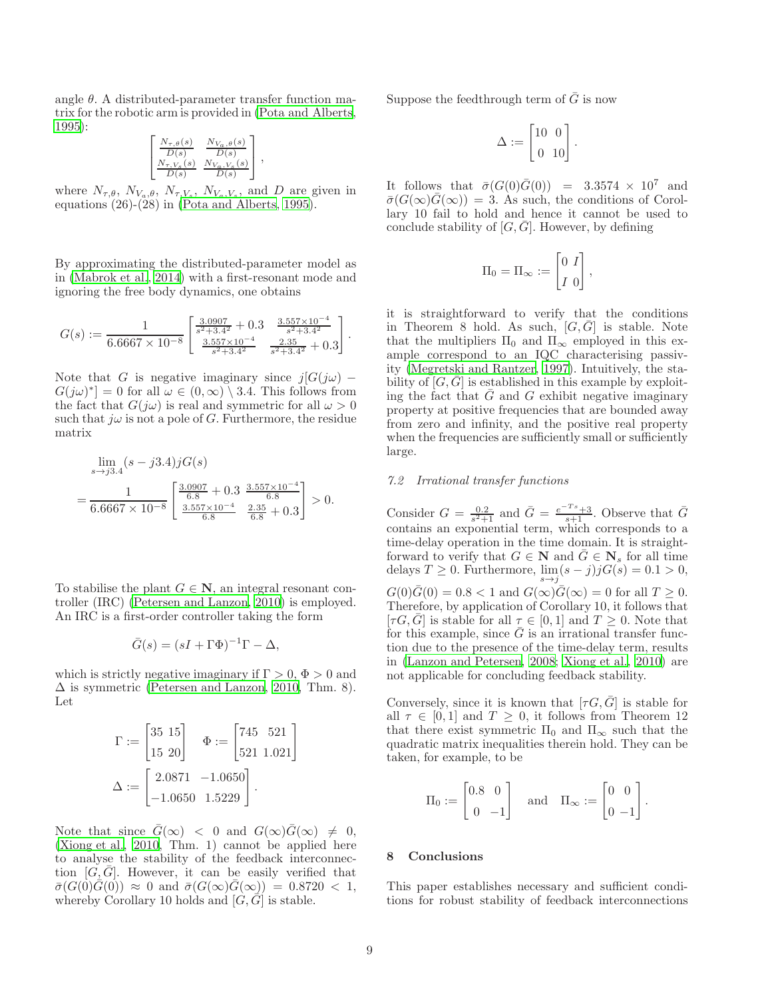angle  $\theta$ . A distributed-parameter transfer function matrix for the robotic arm is provided in [\(Pota and Alberts,](#page-9-27) [1995\)](#page-9-27):

$$
\begin{bmatrix}\n\frac{N_{\tau,\theta}(s)}{D(s)} & \frac{N_{V_a,\theta}(s)}{D(s)} \\
\frac{N_{\tau,V_s}(s)}{D(s)} & \frac{N_{V_a,V_s}(s)}{D(s)}\n\end{bmatrix},
$$

where  $N_{\tau,\theta}$ ,  $N_{V_a,\theta}$ ,  $N_{\tau,V_s}$ ,  $N_{V_a,V_s}$ , and D are given in equations (26)-(28) in [\(Pota and Alberts](#page-9-27), [1995](#page-9-27)).

By approximating the distributed-parameter model as in [\(Mabrok et al.](#page-9-16), [2014\)](#page-9-16) with a first-resonant mode and ignoring the free body dynamics, one obtains

$$
G(s) := \frac{1}{6.6667 \times 10^{-8}} \begin{bmatrix} \frac{3.0907}{s^2 + 3.4^2} + 0.3 & \frac{3.557 \times 10^{-4}}{s^2 + 3.4^2} \\ \frac{3.557 \times 10^{-4}}{s^2 + 3.4^2} & \frac{2.35}{s^2 + 3.4^2} + 0.3 \end{bmatrix}.
$$

Note that G is negative imaginary since  $j[G(j\omega)]$  $G(j\omega)^*$  = 0 for all  $\omega \in (0,\infty) \setminus 3.4$ . This follows from the fact that  $G(j\omega)$  is real and symmetric for all  $\omega > 0$ such that  $j\omega$  is not a pole of G. Furthermore, the residue matrix

$$
\lim_{s \to j3.4} (s - j3.4)jG(s)
$$
\n
$$
= \frac{1}{6.6667 \times 10^{-8}} \left[ \frac{\frac{3.0907}{6.8} + 0.3 \frac{3.557 \times 10^{-4}}{6.8}}{\frac{3.557 \times 10^{-4}}{6.8} \frac{2.35}{6.8} + 0.3} \right] > 0.
$$

To stabilise the plant  $G \in \mathbb{N}$ , an integral resonant controller (IRC) [\(Petersen and Lanzon, 2010\)](#page-9-1) is employed. An IRC is a first-order controller taking the form

$$
\bar{G}(s) = (sI + \Gamma \Phi)^{-1} \Gamma - \Delta,
$$

which is strictly negative imaginary if  $\Gamma > 0$ ,  $\Phi > 0$  and  $\Delta$  is symmetric [\(Petersen and Lanzon](#page-9-1), [2010,](#page-9-1) Thm. 8). Let

$$
\Gamma := \begin{bmatrix} 35 & 15 \\ 15 & 20 \end{bmatrix} \quad \Phi := \begin{bmatrix} 745 & 521 \\ 521 & 1.021 \end{bmatrix}
$$

$$
\Delta := \begin{bmatrix} 2.0871 & -1.0650 \\ -1.0650 & 1.5229 \end{bmatrix}.
$$

Note that since  $\bar{G}(\infty) < 0$  and  $G(\infty)\bar{G}(\infty) \neq 0$ , [\(Xiong et al.](#page-9-8), [2010](#page-9-8), Thm. 1) cannot be applied here to analyse the stability of the feedback interconnection  $[G,\bar{G}]$ . However, it can be easily verified that  $\bar{\sigma}(G(0)\bar{G}(0)) \approx 0$  and  $\bar{\sigma}(G(\infty)\bar{G}(\infty)) = 0.8720 < 1$ , whereby Corollary 10 holds and  $[G,\overline{G}]$  is stable.

Suppose the feedthrough term of  $\overline{G}$  is now

$$
\Delta := \begin{bmatrix} 10 & 0 \\ 0 & 10 \end{bmatrix}.
$$

It follows that  $\bar{\sigma}(G(0)\bar{G}(0)) = 3.3574 \times 10^7$  and  $\bar{\sigma}(G(\infty)\bar{G}(\infty)) = 3$ . As such, the conditions of Corollary 10 fail to hold and hence it cannot be used to conclude stability of  $[G,\overline{G}]$ . However, by defining

$$
\Pi_0 = \Pi_\infty := \begin{bmatrix} 0 & I \\ I & 0 \end{bmatrix},
$$

it is straightforward to verify that the conditions in Theorem 8 hold. As such,  $[G,\overline{G}]$  is stable. Note that the multipliers  $\Pi_0$  and  $\Pi_{\infty}$  employed in this example correspond to an IQC characterising passivity [\(Megretski and Rantzer, 1997](#page-9-17)). Intuitively, the stability of  $[G,\overline{G}]$  is established in this example by exploiting the fact that  $G$  and  $G$  exhibit negative imaginary property at positive frequencies that are bounded away from zero and infinity, and the positive real property when the frequencies are sufficiently small or sufficiently large.

## *7.2 Irrational transfer functions*

Consider  $G = \frac{0.2}{s^2+1}$  and  $\bar{G} = \frac{e^{-Ts}+3}{s+1}$ . Observe that  $\bar{G}$ contains an exponential term, which corresponds to a time-delay operation in the time domain. It is straightforward to verify that  $G \in \mathbf{N}$  and  $\overline{G} \in \mathbf{N}_s$  for all time delays  $T \geq 0$ . Furthermore,  $\lim_{s \to j} (s - j) j G(s) = 0.1 > 0$ ,  $G(0)\overline{G}(0) = 0.8 < 1$  and  $G(\infty)\overline{G}(\infty) = 0$  for all  $T \geq 0$ . Therefore, by application of Corollary 10, it follows that  $[\tau G, \bar{G}]$  is stable for all  $\tau \in [0, 1]$  and  $T \geq 0$ . Note that for this example, since  $\overline{G}$  is an irrational transfer function due to the presence of the time-delay term, results in [\(Lanzon and Petersen, 2008;](#page-9-0) [Xiong et al., 2010\)](#page-9-8) are not applicable for concluding feedback stability.

Conversely, since it is known that  $[\tau G, \bar{G}]$  is stable for all  $\tau \in [0,1]$  and  $T \geq 0$ , it follows from Theorem 12 that there exist symmetric  $\Pi_0$  and  $\Pi_{\infty}$  such that the quadratic matrix inequalities therein hold. They can be taken, for example, to be

$$
\Pi_0 := \begin{bmatrix} 0.8 & 0 \\ 0 & -1 \end{bmatrix} \quad \text{and} \quad \Pi_\infty := \begin{bmatrix} 0 & 0 \\ 0 & -1 \end{bmatrix}.
$$

# 8 Conclusions

This paper establishes necessary and sufficient conditions for robust stability of feedback interconnections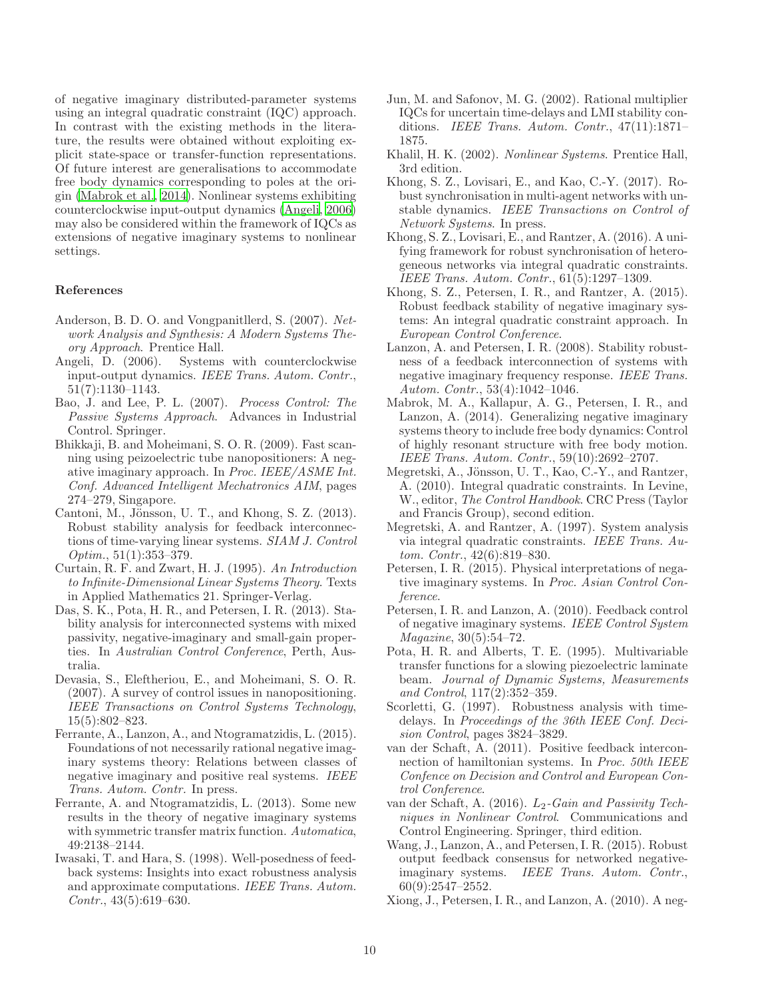of negative imaginary distributed-parameter systems using an integral quadratic constraint (IQC) approach. In contrast with the existing methods in the literature, the results were obtained without exploiting explicit state-space or transfer-function representations. Of future interest are generalisations to accommodate free body dynamics corresponding to poles at the origin [\(Mabrok et al.](#page-9-16), [2014\)](#page-9-16). Nonlinear systems exhibiting counterclockwise input-output dynamics [\(Angeli](#page-9-14), [2006\)](#page-9-14) may also be considered within the framework of IQCs as extensions of negative imaginary systems to nonlinear settings.

## References

- <span id="page-9-2"></span>Anderson, B. D. O. and Vongpanitllerd, S. (2007). *Network Analysis and Synthesis: A Modern Systems Theory Approach*. Prentice Hall.
- <span id="page-9-14"></span>Angeli, D. (2006). Systems with counterclockwise input-output dynamics. *IEEE Trans. Autom. Contr.*, 51(7):1130–1143.
- <span id="page-9-4"></span>Bao, J. and Lee, P. L. (2007). *Process Control: The Passive Systems Approach*. Advances in Industrial Control. Springer.
- <span id="page-9-6"></span>Bhikkaji, B. and Moheimani, S. O. R. (2009). Fast scanning using peizoelectric tube nanopositioners: A negative imaginary approach. In *Proc. IEEE/ASME Int. Conf. Advanced Intelligent Mechatronics AIM*, pages 274–279, Singapore.
- <span id="page-9-19"></span>Cantoni, M., Jönsson, U. T., and Khong, S. Z.  $(2013)$ . Robust stability analysis for feedback interconnections of time-varying linear systems. *SIAM J. Control Optim.*, 51(1):353–379.
- <span id="page-9-21"></span>Curtain, R. F. and Zwart, H. J. (1995). *An Introduction to Infinite-Dimensional Linear Systems Theory*. Texts in Applied Mathematics 21. Springer-Verlag.
- <span id="page-9-9"></span>Das, S. K., Pota, H. R., and Petersen, I. R. (2013). Stability analysis for interconnected systems with mixed passivity, negative-imaginary and small-gain properties. In *Australian Control Conference*, Perth, Australia.
- <span id="page-9-7"></span>Devasia, S., Eleftheriou, E., and Moheimani, S. O. R. (2007). A survey of control issues in nanopositioning. *IEEE Transactions on Control Systems Technology*, 15(5):802–823.
- <span id="page-9-13"></span>Ferrante, A., Lanzon, A., and Ntogramatzidis, L. (2015). Foundations of not necessarily rational negative imaginary systems theory: Relations between classes of negative imaginary and positive real systems. *IEEE Trans. Autom. Contr.* In press.
- <span id="page-9-12"></span>Ferrante, A. and Ntogramatzidis, L. (2013). Some new results in the theory of negative imaginary systems with symmetric transfer matrix function. *Automatica*, 49:2138–2144.
- <span id="page-9-26"></span>Iwasaki, T. and Hara, S. (1998). Well-posedness of feedback systems: Insights into exact robustness analysis and approximate computations. *IEEE Trans. Autom. Contr.*, 43(5):619–630.
- <span id="page-9-24"></span>Jun, M. and Safonov, M. G. (2002). Rational multiplier IQCs for uncertain time-delays and LMI stability conditions. *IEEE Trans. Autom. Contr.*, 47(11):1871– 1875.
- <span id="page-9-3"></span>Khalil, H. K. (2002). *Nonlinear Systems*. Prentice Hall, 3rd edition.
- <span id="page-9-25"></span>Khong, S. Z., Lovisari, E., and Kao, C.-Y. (2017). Robust synchronisation in multi-agent networks with unstable dynamics. *IEEE Transactions on Control of Network Systems*. In press.
- <span id="page-9-20"></span>Khong, S. Z., Lovisari, E., and Rantzer, A. (2016). A unifying framework for robust synchronisation of heterogeneous networks via integral quadratic constraints. *IEEE Trans. Autom. Contr.*, 61(5):1297–1309.
- <span id="page-9-22"></span>Khong, S. Z., Petersen, I. R., and Rantzer, A. (2015). Robust feedback stability of negative imaginary systems: An integral quadratic constraint approach. In *European Control Conference*.
- <span id="page-9-0"></span>Lanzon, A. and Petersen, I. R. (2008). Stability robustness of a feedback interconnection of systems with negative imaginary frequency response. *IEEE Trans. Autom. Contr.*, 53(4):1042–1046.
- <span id="page-9-16"></span>Mabrok, M. A., Kallapur, A. G., Petersen, I. R., and Lanzon, A. (2014). Generalizing negative imaginary systems theory to include free body dynamics: Control of highly resonant structure with free body motion. *IEEE Trans. Autom. Contr.*, 59(10):2692–2707.
- <span id="page-9-18"></span>Megretski, A., Jönsson, U. T., Kao, C.-Y., and Rantzer, A. (2010). Integral quadratic constraints. In Levine, W., editor, *The Control Handbook*. CRC Press (Taylor and Francis Group), second edition.
- <span id="page-9-17"></span>Megretski, A. and Rantzer, A. (1997). System analysis via integral quadratic constraints. *IEEE Trans. Autom. Contr.*, 42(6):819–830.
- <span id="page-9-15"></span>Petersen, I. R. (2015). Physical interpretations of negative imaginary systems. In *Proc. Asian Control Conference*.
- <span id="page-9-1"></span>Petersen, I. R. and Lanzon, A. (2010). Feedback control of negative imaginary systems. *IEEE Control System Magazine*, 30(5):54–72.
- <span id="page-9-27"></span>Pota, H. R. and Alberts, T. E. (1995). Multivariable transfer functions for a slowing piezoelectric laminate beam. *Journal of Dynamic Systems, Measurements and Control*, 117(2):352–359.
- <span id="page-9-23"></span>Scorletti, G. (1997). Robustness analysis with timedelays. In *Proceedings of the 36th IEEE Conf. Decision Control*, pages 3824–3829.
- <span id="page-9-10"></span>van der Schaft, A. (2011). Positive feedback interconnection of hamiltonian systems. In *Proc. 50th IEEE Confence on Decision and Control and European Control Conference*.
- <span id="page-9-5"></span>van der Schaft, A. (2016).  $L_2$ -Gain and Passivity Tech*niques in Nonlinear Control*. Communications and Control Engineering. Springer, third edition.
- <span id="page-9-11"></span>Wang, J., Lanzon, A., and Petersen, I. R. (2015). Robust output feedback consensus for networked negativeimaginary systems. *IEEE Trans. Autom. Contr.*, 60(9):2547–2552.
- <span id="page-9-8"></span>Xiong, J., Petersen, I. R., and Lanzon, A. (2010). A neg-